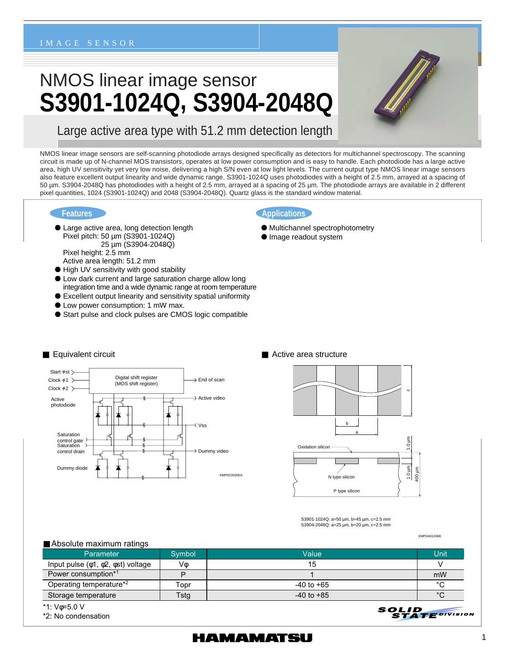#### IMAGE SENSOR

# NMOS linear image sensor **S3901-1024Q, S3904-2048Q**



Large active area type with 51.2 mm detection length

NMOS linear image sensors are self-scanning photodiode arrays designed specifically as detectors for multichannel spectroscopy. The scanning circuit is made up of N-channel MOS transistors, operates at low power consumption and is easy to handle. Each photodiode has a large active area, high UV sensitivity yet very low noise, delivering a high S/N even at low light levels. The current output type NMOS linear image sensors also feature excellent output linearity and wide dynamic range. S3901-1024Q uses photodiodes with a height of 2.5 mm, arrayed at a spacing of 50 µm. S3904-2048Q has photodiodes with a height of 2.5 mm, arrayed at a spacing of 25 µm. The photodiode arrays are available in 2 different pixel quantities, 1024 (S3901-1024Q) and 2048 (S3904-2048Q). Quartz glass is the standard window material.

#### **Features**

- **Large active area, long detection length** Pixel pitch: 50 µm (S3901-1024Q) 25 µm (S3904-2048Q) Pixel height: 2.5 mm Active area length: 51.2 mm
- 
- High UV sensitivity with good stability
- Low dark current and large saturation charge allow long integration time and a wide dynamic range at room temperature **Excellent output linearity and sensitivity spatial uniformity**
- **Low power consumption: 1 mW max.**
- Start pulse and clock pulses are CMOS logic compatible

#### **Applications**

- Multichannel spectrophotometry
- **Image readout system**





S3901-1024Q: a=50 µm, b=45 µm, c=2.5 mm S3904-2048Q: a=25 µm, b=20 µm, c=2.5 mm

#### ■ Absolute maximum ratings

| $\blacksquare$ , woold to maximum ruth ruth    |        |                |             |  |  |
|------------------------------------------------|--------|----------------|-------------|--|--|
| <b>Parameter</b>                               | Symbol | Value          | Unit        |  |  |
| Input pulse $(\phi_1, \phi_2, \phi_3)$ voltage | V٨     | 15             |             |  |  |
| Power consumption <sup>*1</sup>                | D      |                | mW          |  |  |
| Operating temperature*2                        | Topr   | $-40$ to $+65$ | °C          |  |  |
| Storage temperature                            | Tstg   | $-40$ to $+85$ | $^{\circ}C$ |  |  |

\*1: Vφ=5.0 V

\*2: No condensation

### HAMAMATSU

#### 1

KMPDA0124EB

**STATE** DIVISION

SOLID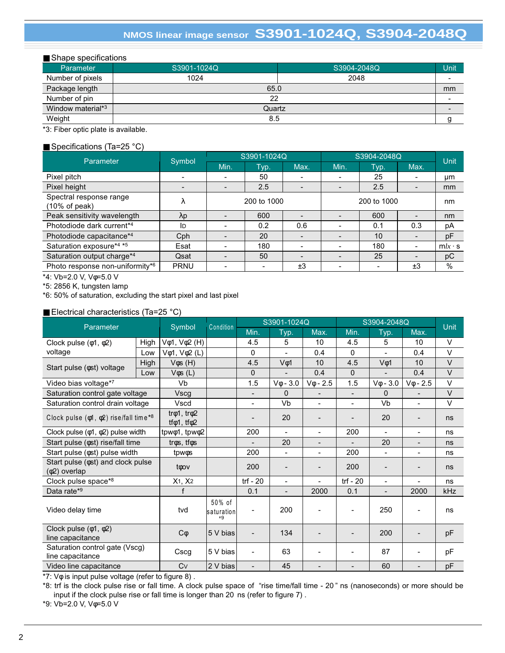## **NMOS linear image sensor S3901-1024Q, S3904-2048Q**

| Shape specifications |             |             |      |  |  |  |
|----------------------|-------------|-------------|------|--|--|--|
| Parameter            | S3901-1024Q | S3904-2048Q | Unit |  |  |  |
| Number of pixels     | 1024        | 2048        |      |  |  |  |
| Package length       | 65.0        |             | mm   |  |  |  |
| Number of pin        | 22          |             |      |  |  |  |
| Window material*3    | Quartz      |             |      |  |  |  |
| Weight               | 8.5         |             |      |  |  |  |

\*3: Fiber optic plate is available.

### ■ Specifications (Ta=25 °C)

| Parameter                                | Symbol      |                          | S3901-1024Q    |      | S3904-2048Q |      |                          | <b>Unit</b>   |
|------------------------------------------|-------------|--------------------------|----------------|------|-------------|------|--------------------------|---------------|
|                                          |             | Min.                     | Typ.           | Max. | Min.        | Typ. | Max.                     |               |
| Pixel pitch                              |             |                          | 50             |      |             | 25   |                          | μm            |
| Pixel height                             |             | ۰.                       | 2.5            |      |             | 2.5  |                          | mm            |
| Spectral response range<br>(10% of peak) | λ           | 200 to 1000              |                |      | 200 to 1000 | nm   |                          |               |
| Peak sensitivity wavelength              | $\lambda p$ |                          | 600            |      |             | 600  |                          | nm            |
| Photodiode dark current*4                | ID          |                          | 0.2            | 0.6  |             | 0.1  | 0.3                      | рA            |
| Photodiode capacitance*4                 | Cph         |                          | 20             |      |             | 10   |                          | pF            |
| Saturation exposure*4 *5                 | Esat        |                          | 180            |      |             | 180  |                          | $mlx \cdot s$ |
| Saturation output charge*4               | Qsat        | $\overline{\phantom{a}}$ | 50             |      |             | 25   | $\overline{\phantom{0}}$ | рC            |
| Photo response non-uniformity*6          | <b>PRNU</b> | $\overline{\phantom{0}}$ | $\blacksquare$ | ±3   |             | Ξ.   | ±3                       | %             |

\*4: Vb=2.0 V, Vφ=5.0 V

\*5: 2856 K, tungsten lamp

\*6: 50% of saturation, excluding the start pixel and last pixel

### ■ Electrical characteristics (Ta=25 °C)

| Parameter                                                            |      | Symbol                                             | Condition                     | S3901-1024Q              |                          |                          | S3904-2048Q              |                          |                  | <b>Unit</b> |
|----------------------------------------------------------------------|------|----------------------------------------------------|-------------------------------|--------------------------|--------------------------|--------------------------|--------------------------|--------------------------|------------------|-------------|
|                                                                      |      |                                                    |                               | Min.                     | Typ.                     | Max.                     | Min.                     | Typ.                     | Max.             |             |
| Clock pulse $(\phi 1, \phi 2)$                                       | High | $V\phi$ 1, $V\phi$ 2 (H)                           |                               | 4.5                      | 5                        | 10                       | 4.5                      | 5                        | 10               | V           |
| voltage                                                              | Low  | $V\phi$ 1, $V\phi$ 2 (L)                           |                               | $\Omega$                 |                          | 0.4                      | $\mathbf{0}$             |                          | 0.4              | $\vee$      |
| Start pulse ( $\phi$ st) voltage                                     | High | $V$ $\phi$ s (H)                                   |                               | 4.5                      | $V\phi$ 1                | 10                       | 4.5                      | $V\phi$ 1                | 10               | $\vee$      |
|                                                                      | Low  | $V$ $\phi$ s (L)                                   |                               | $\mathbf{0}$             |                          | 0.4                      | $\Omega$                 |                          | 0.4              | $\vee$      |
| Video bias voltage*7                                                 |      | Vb                                                 |                               | 1.5                      | $V$ $\phi$ - 3.0         | $V\phi$ - 2.5            | 1.5                      | $V$ $\phi$ - 3.0         | $V_{\Phi}$ - 2.5 | V           |
| Saturation control gate voltage                                      |      | Vscg                                               |                               | $\overline{\phantom{0}}$ | 0                        | $\overline{a}$           | $\overline{\phantom{a}}$ | $\Omega$                 |                  | $\vee$      |
| Saturation control drain voltage                                     |      | Vscd                                               |                               | $\overline{a}$           | Vb                       | -                        | $\overline{\phantom{0}}$ | Vb                       |                  | V           |
| Clock pulse ( $\phi$ 1, $\phi$ 2) rise/fall time*8                   |      | $tr\phi$ 1, $tr\phi$ 2<br>tf $\phi$ 1, tf $\phi$ 2 |                               |                          | 20                       |                          |                          | 20                       |                  | ns          |
| Clock pulse $(\phi 1, \phi 2)$ pulse width                           |      | tpwo1, tpwo2                                       |                               | 200                      | $\blacksquare$           | $\overline{\phantom{0}}$ | 200                      | $\blacksquare$           | $\blacksquare$   | ns          |
| Start pulse ( $\phi$ st) rise/fall time                              |      | tros, tfos                                         |                               | $\overline{\phantom{0}}$ | 20                       | $\overline{\phantom{0}}$ | $\overline{\phantom{0}}$ | 20                       | $\blacksquare$   | ns          |
| Start pulse ( $\phi$ st) pulse width                                 |      | tpwos                                              |                               | 200                      | $\overline{\phantom{a}}$ | $\overline{\phantom{0}}$ | 200                      | $\overline{\phantom{0}}$ |                  | ns          |
| Start pulse $(\phi st)$ and clock pulse<br>$(\phi 2)$ overlap        |      | toov                                               |                               | 200                      |                          |                          | 200                      |                          |                  | ns          |
| Clock pulse space*8                                                  |      | X1, X2                                             |                               | trf - $20$               | $\overline{\phantom{a}}$ | $\overline{a}$           | trf - $20$               | $\blacksquare$           |                  | ns          |
| Data rate*9                                                          |      | f                                                  |                               | 0.1                      |                          | 2000                     | 0.1                      |                          | 2000             | kHz         |
| Video delay time                                                     |      | tvd                                                | 50% of<br>saturation<br>$*$ q |                          | 200                      |                          |                          | 250                      |                  | ns          |
| Clock pulse $(\phi \mathbf{1}, \phi \mathbf{2})$<br>line capacitance |      | $C\phi$                                            | 5 V bias                      |                          | 134                      |                          |                          | 200                      |                  | pF          |
| Saturation control gate (Vscg)<br>line capacitance                   |      | Cscg                                               | 5 V bias                      |                          | 63                       |                          |                          | 87                       |                  | pF          |
| Video line capacitance                                               |      | Cv                                                 | 2 V bias                      |                          | 45                       |                          |                          | 60                       |                  | pF          |

\*7: Vφ is input pulse voltage (refer to figure 8) .

\*8: trf is the clock pulse rise or fall time. A clock pulse space of "rise time/fall time - 20 " ns (nanoseconds) or more should be input if the clock pulse rise or fall time is longer than 20 ns (refer to figure 7) .

\*9: Vb=2.0 V, Vφ=5.0 V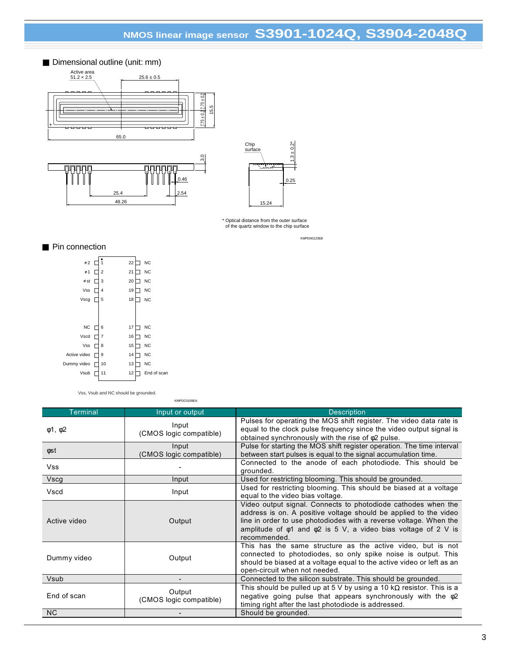# **NMOS linear image sensor S3901-1024Q, S3904-2048Q**





\* Optical distance from the outer surface of the quartz window to the chip surface

KMPDA0123EB

#### ■ Pin connection

| $\phi$ 2     |   |                | 22 | <b>NC</b>   |
|--------------|---|----------------|----|-------------|
| $\phi$ 1     |   | $\overline{2}$ | 21 | <b>NC</b>   |
| $\phi$ st    |   | 3              | 20 | <b>NC</b>   |
| Vss          | L | 4              | 19 | <b>NC</b>   |
| Vscg         |   | 5              | 18 | <b>NC</b>   |
|              |   |                |    |             |
|              |   |                |    |             |
| NC           |   | 6              | 17 | <b>NC</b>   |
| Vscd         |   | $\overline{7}$ | 16 | <b>NC</b>   |
| Vss          |   | 8              | 15 | <b>NC</b>   |
| Active video |   | 9              | 14 | <b>NC</b>   |
| Dummy video  |   | 10             | 13 | <b>NC</b>   |
| Vsub         |   | 11             | 12 | End of scan |
|              |   |                |    |             |

Vss, Vsub and NC should be grounded.

KMPDC0109EA

| <b>Terminal</b>    | Input or output                   | <b>Description</b>                                                                                                                                                                                                                                                                                  |
|--------------------|-----------------------------------|-----------------------------------------------------------------------------------------------------------------------------------------------------------------------------------------------------------------------------------------------------------------------------------------------------|
| $\phi$ 1, $\phi$ 2 | Input<br>(CMOS logic compatible)  | Pulses for operating the MOS shift register. The video data rate is<br>equal to the clock pulse frequency since the video output signal is<br>obtained synchronously with the rise of $\phi$ 2 pulse.                                                                                               |
| φst                | Input<br>(CMOS logic compatible)  | Pulse for starting the MOS shift register operation. The time interval<br>between start pulses is equal to the signal accumulation time.                                                                                                                                                            |
| Vss                |                                   | Connected to the anode of each photodiode. This should be<br>grounded.                                                                                                                                                                                                                              |
| Vscg               | Input                             | Used for restricting blooming. This should be grounded.                                                                                                                                                                                                                                             |
| Vscd               | Input                             | Used for restricting blooming. This should be biased at a voltage<br>equal to the video bias voltage.                                                                                                                                                                                               |
| Active video       | Output                            | Video output signal. Connects to photodiode cathodes when the<br>address is on. A positive voltage should be applied to the video<br>line in order to use photodiodes with a reverse voltage. When the<br>amplitude of $\phi$ 1 and $\phi$ 2 is 5 V, a video bias voltage of 2 V is<br>recommended. |
| Dummy video        | Output                            | This has the same structure as the active video, but is not<br>connected to photodiodes, so only spike noise is output. This<br>should be biased at a voltage equal to the active video or left as an<br>open-circuit when not needed.                                                              |
| Vsub               |                                   | Connected to the silicon substrate. This should be grounded.                                                                                                                                                                                                                                        |
| End of scan        | Output<br>(CMOS logic compatible) | This should be pulled up at 5 V by using a 10 k $\Omega$ resistor. This is a<br>negative going pulse that appears synchronously with the $\phi$ 2<br>timing right after the last photodiode is addressed.                                                                                           |
| <b>NC</b>          |                                   | Should be grounded.                                                                                                                                                                                                                                                                                 |